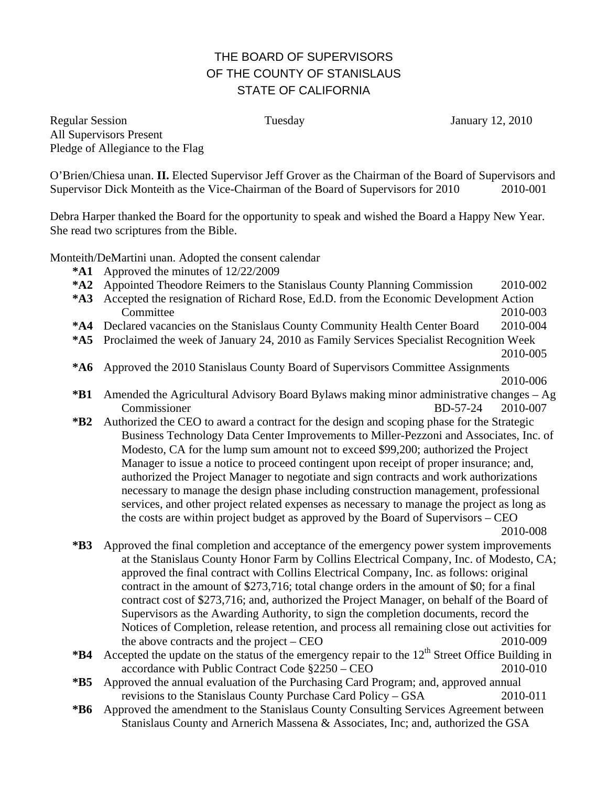## THE BOARD OF SUPERVISORS OF THE COUNTY OF STANISLAUS STATE OF CALIFORNIA

Regular Session Tuesday January 12, 2010 All Supervisors Present Pledge of Allegiance to the Flag

O'Brien/Chiesa unan. **II.** Elected Supervisor Jeff Grover as the Chairman of the Board of Supervisors and Supervisor Dick Monteith as the Vice-Chairman of the Board of Supervisors for 2010 2010-001

Debra Harper thanked the Board for the opportunity to speak and wished the Board a Happy New Year. She read two scriptures from the Bible.

Monteith/DeMartini unan. Adopted the consent calendar

- **\*A1** Approved the minutes of 12/22/2009
- **\*A2** Appointed Theodore Reimers to the Stanislaus County Planning Commission 2010-002
- **\*A3** Accepted the resignation of Richard Rose, Ed.D. from the Economic Development Action Committee 2010-003
- **\*A4** Declared vacancies on the Stanislaus County Community Health Center Board 2010-004
- **\*A5** Proclaimed the week of January 24, 2010 as Family Services Specialist Recognition Week
- 2010-005
- **\*A6** Approved the 2010 Stanislaus County Board of Supervisors Committee Assignments 2010-006
- **\*B1** Amended the Agricultural Advisory Board Bylaws making minor administrative changes Ag Commissioner BD-57-24 2010-007
- **\*B2** Authorized the CEO to award a contract for the design and scoping phase for the Strategic Business Technology Data Center Improvements to Miller-Pezzoni and Associates, Inc. of Modesto, CA for the lump sum amount not to exceed \$99,200; authorized the Project Manager to issue a notice to proceed contingent upon receipt of proper insurance; and, authorized the Project Manager to negotiate and sign contracts and work authorizations necessary to manage the design phase including construction management, professional services, and other project related expenses as necessary to manage the project as long as the costs are within project budget as approved by the Board of Supervisors – CEO 2010-008

**\*B3** Approved the final completion and acceptance of the emergency power system improvements at the Stanislaus County Honor Farm by Collins Electrical Company, Inc. of Modesto, CA; approved the final contract with Collins Electrical Company, Inc. as follows: original contract in the amount of \$273,716; total change orders in the amount of \$0; for a final contract cost of \$273,716; and, authorized the Project Manager, on behalf of the Board of Supervisors as the Awarding Authority, to sign the completion documents, record the Notices of Completion, release retention, and process all remaining close out activities for the above contracts and the project – CEO 2010-009

- **\*B4** Accepted the update on the status of the emergency repair to the  $12<sup>th</sup>$  Street Office Building in accordance with Public Contract Code §2250 – CEO 2010-010
- **\*B5** Approved the annual evaluation of the Purchasing Card Program; and, approved annual revisions to the Stanislaus County Purchase Card Policy – GSA 2010-011
- **\*B6** Approved the amendment to the Stanislaus County Consulting Services Agreement between Stanislaus County and Arnerich Massena & Associates, Inc; and, authorized the GSA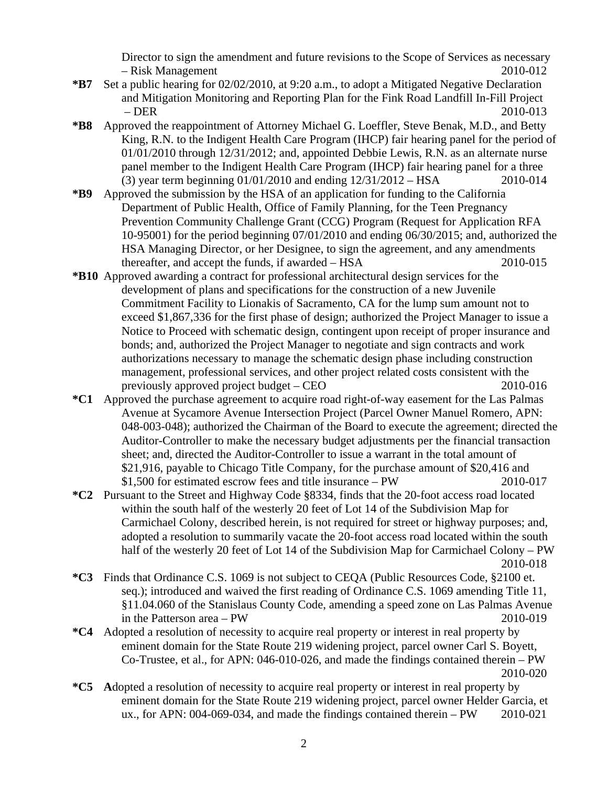Director to sign the amendment and future revisions to the Scope of Services as necessary – Risk Management 2010-012

- **\*B7** Set a public hearing for 02/02/2010, at 9:20 a.m., to adopt a Mitigated Negative Declaration and Mitigation Monitoring and Reporting Plan for the Fink Road Landfill In-Fill Project – DER 2010-013
- **\*B8** Approved the reappointment of Attorney Michael G. Loeffler, Steve Benak, M.D., and Betty King, R.N. to the Indigent Health Care Program (IHCP) fair hearing panel for the period of 01/01/2010 through 12/31/2012; and, appointed Debbie Lewis, R.N. as an alternate nurse panel member to the Indigent Health Care Program (IHCP) fair hearing panel for a three (3) year term beginning 01/01/2010 and ending 12/31/2012 – HSA 2010-014
- **\*B9** Approved the submission by the HSA of an application for funding to the California Department of Public Health, Office of Family Planning, for the Teen Pregnancy Prevention Community Challenge Grant (CCG) Program (Request for Application RFA 10-95001) for the period beginning 07/01/2010 and ending 06/30/2015; and, authorized the HSA Managing Director, or her Designee, to sign the agreement, and any amendments thereafter, and accept the funds, if awarded – HSA 2010-015
- **\*B10** Approved awarding a contract for professional architectural design services for the development of plans and specifications for the construction of a new Juvenile Commitment Facility to Lionakis of Sacramento, CA for the lump sum amount not to exceed \$1,867,336 for the first phase of design; authorized the Project Manager to issue a Notice to Proceed with schematic design, contingent upon receipt of proper insurance and bonds; and, authorized the Project Manager to negotiate and sign contracts and work authorizations necessary to manage the schematic design phase including construction management, professional services, and other project related costs consistent with the previously approved project budget – CEO 2010-016
- **\*C1** Approved the purchase agreement to acquire road right-of-way easement for the Las Palmas Avenue at Sycamore Avenue Intersection Project (Parcel Owner Manuel Romero, APN: 048-003-048); authorized the Chairman of the Board to execute the agreement; directed the Auditor-Controller to make the necessary budget adjustments per the financial transaction sheet; and, directed the Auditor-Controller to issue a warrant in the total amount of \$21,916, payable to Chicago Title Company, for the purchase amount of \$20,416 and \$1,500 for estimated escrow fees and title insurance – PW 2010-017
- **\*C2** Pursuant to the Street and Highway Code §8334, finds that the 20-foot access road located within the south half of the westerly 20 feet of Lot 14 of the Subdivision Map for Carmichael Colony, described herein, is not required for street or highway purposes; and, adopted a resolution to summarily vacate the 20-foot access road located within the south half of the westerly 20 feet of Lot 14 of the Subdivision Map for Carmichael Colony – PW 2010-018
- **\*C3** Finds that Ordinance C.S. 1069 is not subject to CEQA (Public Resources Code, §2100 et. seq.); introduced and waived the first reading of Ordinance C.S. 1069 amending Title 11, §11.04.060 of the Stanislaus County Code, amending a speed zone on Las Palmas Avenue in the Patterson area – PW 2010-019
- **\*C4** Adopted a resolution of necessity to acquire real property or interest in real property by eminent domain for the State Route 219 widening project, parcel owner Carl S. Boyett, Co-Trustee, et al., for APN: 046-010-026, and made the findings contained therein – PW 2010-020
- **\*C5 A**dopted a resolution of necessity to acquire real property or interest in real property by eminent domain for the State Route 219 widening project, parcel owner Helder Garcia, et ux., for APN: 004-069-034, and made the findings contained therein – PW 2010-021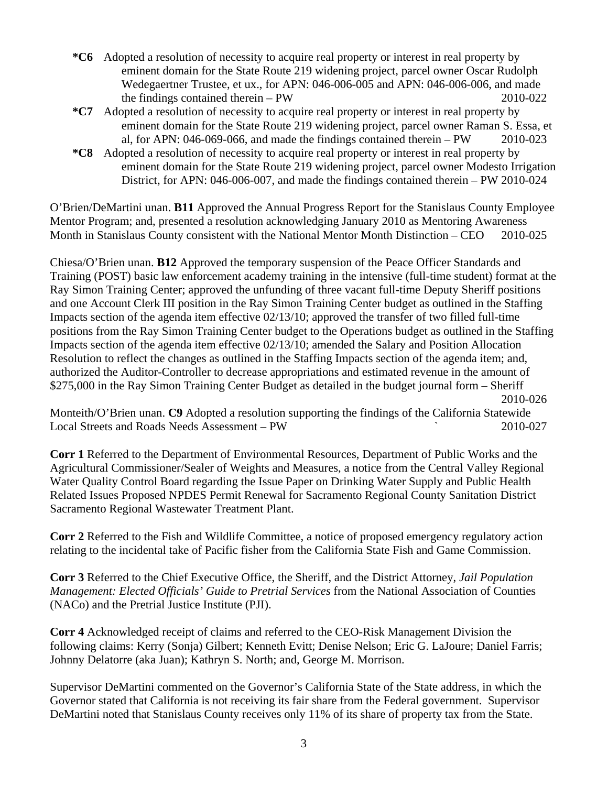- **\*C6** Adopted a resolution of necessity to acquire real property or interest in real property by eminent domain for the State Route 219 widening project, parcel owner Oscar Rudolph Wedegaertner Trustee, et ux., for APN: 046-006-005 and APN: 046-006-006, and made the findings contained therein – PW 2010-022
- **\*C7** Adopted a resolution of necessity to acquire real property or interest in real property by eminent domain for the State Route 219 widening project, parcel owner Raman S. Essa, et al, for APN: 046-069-066, and made the findings contained therein – PW 2010-023
- **\*C8** Adopted a resolution of necessity to acquire real property or interest in real property by eminent domain for the State Route 219 widening project, parcel owner Modesto Irrigation District, for APN: 046-006-007, and made the findings contained therein – PW 2010-024

O'Brien/DeMartini unan. **B11** Approved the Annual Progress Report for the Stanislaus County Employee Mentor Program; and, presented a resolution acknowledging January 2010 as Mentoring Awareness Month in Stanislaus County consistent with the National Mentor Month Distinction – CEO 2010-025

Chiesa/O'Brien unan. **B12** Approved the temporary suspension of the Peace Officer Standards and Training (POST) basic law enforcement academy training in the intensive (full-time student) format at the Ray Simon Training Center; approved the unfunding of three vacant full-time Deputy Sheriff positions and one Account Clerk III position in the Ray Simon Training Center budget as outlined in the Staffing Impacts section of the agenda item effective 02/13/10; approved the transfer of two filled full-time positions from the Ray Simon Training Center budget to the Operations budget as outlined in the Staffing Impacts section of the agenda item effective 02/13/10; amended the Salary and Position Allocation Resolution to reflect the changes as outlined in the Staffing Impacts section of the agenda item; and, authorized the Auditor-Controller to decrease appropriations and estimated revenue in the amount of \$275,000 in the Ray Simon Training Center Budget as detailed in the budget journal form – Sheriff 2010-026

Monteith/O'Brien unan. **C9** Adopted a resolution supporting the findings of the California Statewide Local Streets and Roads Needs Assessment – PW ` 2010-027

**Corr 1** Referred to the Department of Environmental Resources, Department of Public Works and the Agricultural Commissioner/Sealer of Weights and Measures, a notice from the Central Valley Regional Water Quality Control Board regarding the Issue Paper on Drinking Water Supply and Public Health Related Issues Proposed NPDES Permit Renewal for Sacramento Regional County Sanitation District Sacramento Regional Wastewater Treatment Plant.

**Corr 2** Referred to the Fish and Wildlife Committee, a notice of proposed emergency regulatory action relating to the incidental take of Pacific fisher from the California State Fish and Game Commission.

**Corr 3** Referred to the Chief Executive Office, the Sheriff, and the District Attorney, *Jail Population Management: Elected Officials' Guide to Pretrial Services* from the National Association of Counties (NACo) and the Pretrial Justice Institute (PJI).

**Corr 4** Acknowledged receipt of claims and referred to the CEO-Risk Management Division the following claims: Kerry (Sonja) Gilbert; Kenneth Evitt; Denise Nelson; Eric G. LaJoure; Daniel Farris; Johnny Delatorre (aka Juan); Kathryn S. North; and, George M. Morrison.

Supervisor DeMartini commented on the Governor's California State of the State address, in which the Governor stated that California is not receiving its fair share from the Federal government. Supervisor DeMartini noted that Stanislaus County receives only 11% of its share of property tax from the State.